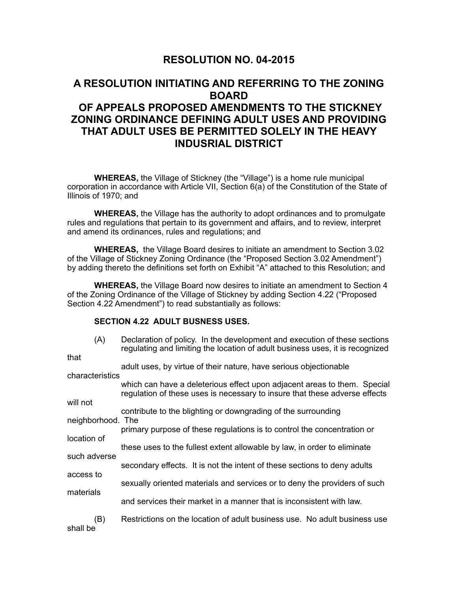## **RESOLUTION NO. 04-2015**

# **A RESOLUTION INITIATING AND REFERRING TO THE ZONING BOARD OF APPEALS PROPOSED AMENDMENTS TO THE STICKNEY ZONING ORDINANCE DEFINING ADULT USES AND PROVIDING THAT ADULT USES BE PERMITTED SOLELY IN THE HEAVY INDUSRIAL DISTRICT**

 **WHEREAS,** the Village of Stickney (the "Village") is a home rule municipal corporation in accordance with Article VII, Section 6(a) of the Constitution of the State of Illinois of 1970; and

**WHEREAS,** the Village has the authority to adopt ordinances and to promulgate rules and regulations that pertain to its government and affairs, and to review, interpret and amend its ordinances, rules and regulations; and

**WHEREAS,** the Village Board desires to initiate an amendment to Section 3.02 of the Village of Stickney Zoning Ordinance (the "Proposed Section 3.02 Amendment") by adding thereto the definitions set forth on Exhibit "A" attached to this Resolution; and

 **WHEREAS,** the Village Board now desires to initiate an amendment to Section 4 of the Zoning Ordinance of the Village of Stickney by adding Section 4.22 ("Proposed Section 4.22 Amendment") to read substantially as follows:

### **SECTION 4.22 ADULT BUSNESS USES.**

| (A)               | Declaration of policy. In the development and execution of these sections<br>regulating and limiting the location of adult business uses, it is recognized |
|-------------------|------------------------------------------------------------------------------------------------------------------------------------------------------------|
| that              | adult uses, by virtue of their nature, have serious objectionable                                                                                          |
| characteristics   | which can have a deleterious effect upon adjacent areas to them. Special<br>regulation of these uses is necessary to insure that these adverse effects     |
| will not          |                                                                                                                                                            |
| neighborhood. The | contribute to the blighting or downgrading of the surrounding                                                                                              |
|                   | primary purpose of these regulations is to control the concentration or                                                                                    |
| location of       | these uses to the fullest extent allowable by law, in order to eliminate                                                                                   |
| such adverse      | secondary effects. It is not the intent of these sections to deny adults                                                                                   |
| access to         |                                                                                                                                                            |
|                   | sexually oriented materials and services or to deny the providers of such                                                                                  |
| materials         | and services their market in a manner that is inconsistent with law.                                                                                       |
| (B)<br>shall be   | Restrictions on the location of adult business use. No adult business use                                                                                  |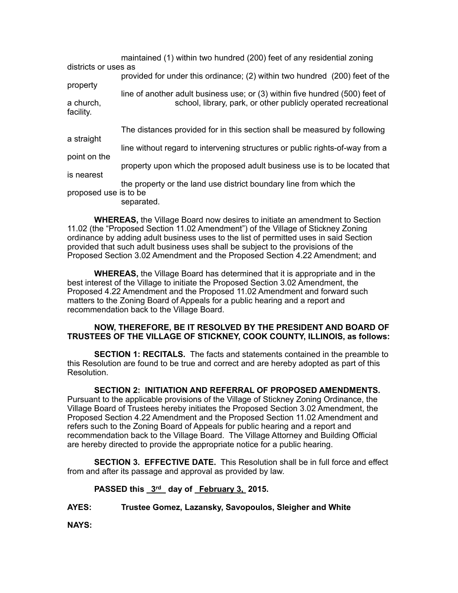| districts or uses as   | maintained (1) within two hundred (200) feet of any residential zoning                                                                         |
|------------------------|------------------------------------------------------------------------------------------------------------------------------------------------|
| property               | provided for under this ordinance; (2) within two hundred (200) feet of the                                                                    |
| a church,<br>facility. | line of another adult business use; or (3) within five hundred (500) feet of<br>school, library, park, or other publicly operated recreational |
| a straight             | The distances provided for in this section shall be measured by following                                                                      |
| point on the           | line without regard to intervening structures or public rights-of-way from a                                                                   |
| is nearest             | property upon which the proposed adult business use is to be located that                                                                      |
|                        | the property or the land use district boundary line from which the                                                                             |
| proposed use is to be  | separated.                                                                                                                                     |

**WHEREAS,** the Village Board now desires to initiate an amendment to Section 11.02 (the "Proposed Section 11.02 Amendment") of the Village of Stickney Zoning ordinance by adding adult business uses to the list of permitted uses in said Section provided that such adult business uses shall be subject to the provisions of the Proposed Section 3.02 Amendment and the Proposed Section 4.22 Amendment; and

**WHEREAS,** the Village Board has determined that it is appropriate and in the best interest of the Village to initiate the Proposed Section 3.02 Amendment, the Proposed 4.22 Amendment and the Proposed 11.02 Amendment and forward such matters to the Zoning Board of Appeals for a public hearing and a report and recommendation back to the Village Board.

### **NOW, THEREFORE, BE IT RESOLVED BY THE PRESIDENT AND BOARD OF TRUSTEES OF THE VILLAGE OF STICKNEY, COOK COUNTY, ILLINOIS, as follows:**

 **SECTION 1: RECITALS.** The facts and statements contained in the preamble to this Resolution are found to be true and correct and are hereby adopted as part of this Resolution.

**SECTION 2: INITIATION AND REFERRAL OF PROPOSED AMENDMENTS.**  Pursuant to the applicable provisions of the Village of Stickney Zoning Ordinance, the Village Board of Trustees hereby initiates the Proposed Section 3.02 Amendment, the Proposed Section 4.22 Amendment and the Proposed Section 11.02 Amendment and refers such to the Zoning Board of Appeals for public hearing and a report and recommendation back to the Village Board. The Village Attorney and Building Official are hereby directed to provide the appropriate notice for a public hearing.

**SECTION 3. EFFECTIVE DATE.** This Resolution shall be in full force and effect from and after its passage and approval as provided by law.

#### **PASSED this 3rd day of February 3, 2015.**

**AYES: Trustee Gomez, Lazansky, Savopoulos, Sleigher and White**

**NAYS:**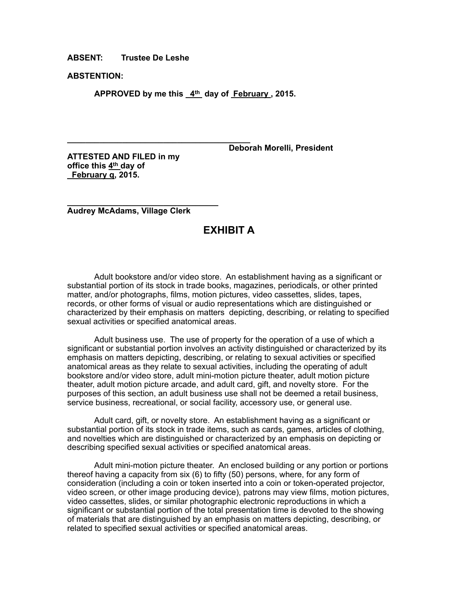**ABSENT: Trustee De Leshe**

**ABSTENTION:**

APPROVED by me this 4<sup>th</sup> day of February, 2015.

 **Deborah Morelli, President**

**ATTESTED AND FILED in my office this 4th day of February q, 2015.**

**\_\_\_\_\_\_\_\_\_\_\_\_\_\_\_\_\_\_\_\_\_\_\_\_\_\_\_\_\_\_\_\_\_\_\_\_\_\_\_\_**

**\_\_\_\_\_\_\_\_\_\_\_\_\_\_\_\_\_\_\_\_\_\_\_\_\_\_\_\_\_\_\_\_\_ Audrey McAdams, Village Clerk**

## **EXHIBIT A**

 Adult bookstore and/or video store. An establishment having as a significant or substantial portion of its stock in trade books, magazines, periodicals, or other printed matter, and/or photographs, films, motion pictures, video cassettes, slides, tapes, records, or other forms of visual or audio representations which are distinguished or characterized by their emphasis on matters depicting, describing, or relating to specified sexual activities or specified anatomical areas.

 Adult business use. The use of property for the operation of a use of which a significant or substantial portion involves an activity distinguished or characterized by its emphasis on matters depicting, describing, or relating to sexual activities or specified anatomical areas as they relate to sexual activities, including the operating of adult bookstore and/or video store, adult mini-motion picture theater, adult motion picture theater, adult motion picture arcade, and adult card, gift, and novelty store. For the purposes of this section, an adult business use shall not be deemed a retail business, service business, recreational, or social facility, accessory use, or general use.

 Adult card, gift, or novelty store. An establishment having as a significant or substantial portion of its stock in trade items, such as cards, games, articles of clothing, and novelties which are distinguished or characterized by an emphasis on depicting or describing specified sexual activities or specified anatomical areas.

 Adult mini-motion picture theater. An enclosed building or any portion or portions thereof having a capacity from six (6) to fifty (50) persons, where, for any form of consideration (including a coin or token inserted into a coin or token-operated projector, video screen, or other image producing device), patrons may view films, motion pictures, video cassettes, slides, or similar photographic electronic reproductions in which a significant or substantial portion of the total presentation time is devoted to the showing of materials that are distinguished by an emphasis on matters depicting, describing, or related to specified sexual activities or specified anatomical areas.